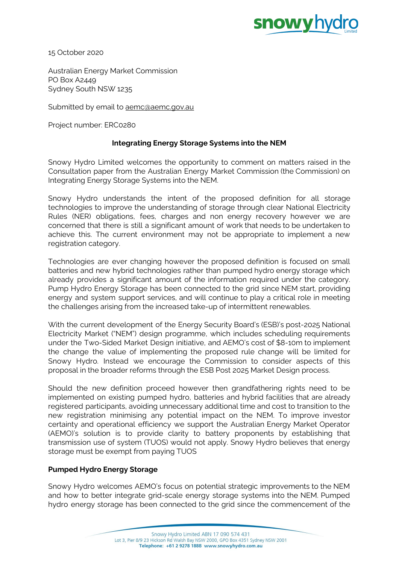

15 October 2020

Australian Energy Market Commission PO Box A2449 Sydney South NSW 1235

Submitted by email to [aemc@aemc.gov.au](mailto:aemc@aemc.gov.au)

Project number: ERC0280

# **Integrating Energy Storage Systems into the NEM**

Snowy Hydro Limited welcomes the opportunity to comment on matters raised in the Consultation paper from the Australian Energy Market Commission (the Commission) on Integrating Energy Storage Systems into the NEM.

Snowy Hydro understands the intent of the proposed definition for all storage technologies to improve the understanding of storage through clear National Electricity Rules (NER) obligations, fees, charges and non energy recovery however we are concerned that there is still a significant amount of work that needs to be undertaken to achieve this. The current environment may not be appropriate to implement a new registration category.

Technologies are ever changing however the proposed definition is focused on small batteries and new hybrid technologies rather than pumped hydro energy storage which already provides a significant amount of the information required under the category. Pump Hydro Energy Storage has been connected to the grid since NEM start, providing energy and system support services, and will continue to play a critical role in meeting the challenges arising from the increased take-up of intermittent renewables.

With the current development of the Energy Security Board's (ESB)'s post-2025 National Electricity Market ("NEM") design programme, which includes scheduling requirements under the Two-Sided Market Design initiative, and AEMO's cost of \$8-10m to implement the change the value of implementing the proposed rule change will be limited for Snowy Hydro. Instead we encourage the Commission to consider aspects of this proposal in the broader reforms through the ESB Post 2025 Market Design process.

Should the new definition proceed however then grandfathering rights need to be implemented on existing pumped hydro, batteries and hybrid facilities that are already registered participants, avoiding unnecessary additional time and cost to transition to the new registration minimising any potential impact on the NEM. To improve investor certainty and operational efficiency we support the Australian Energy Market Operator (AEMO)'s solution is to provide clarity to battery proponents by establishing that transmission use of system (TUOS) would not apply. Snowy Hydro believes that energy storage must be exempt from paying TUOS

# **Pumped Hydro Energy Storage**

Snowy Hydro welcomes AEMO's focus on potential strategic improvements to the NEM and how to better integrate grid-scale energy storage systems into the NEM. Pumped hydro energy storage has been connected to the grid since the commencement of the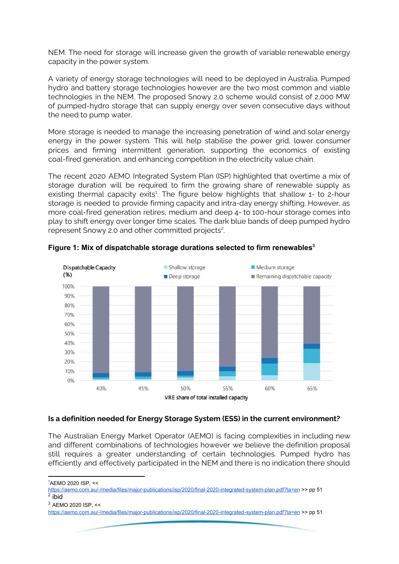NEM. The need for storage will increase given the growth of variable renewable energy capacity in the power system.

A variety of energy storage technologies will need to be deployed in Australia. Pumped hydro and battery storage technologies however are the two most common and viable technologies in the NEM. The proposed Snowy 2.0 scheme would consist of 2,000 MW of pumped-hydro storage that can supply energy over seven consecutive days without the need to pump water.

More storage is needed to manage the increasing penetration of wind and solar energy energy in the power system. This will help stabilise the power grid, lower consumer prices and firming intermittent generation, supporting the economics of existing coal-fired generation, and enhancing competition in the electricity value chain.

The recent 2020 AEMO Integrated System Plan (ISP) highlighted that overtime a mix of storage duration will be required to firm the growing share of renewable supply as existing thermal capacity exits<sup>1</sup>. The figure below highlights that shallow 1- to 2-hour storage is needed to provide firming capacity and intra-day energy shifting. However, as more coal-fired generation retires, medium and deep 4- to 100-hour storage comes into play to shift energy over longer time scales. The dark blue bands of deep pumped hydro represent Snowy 2.0 and other committed projects<sup>2</sup>.



**Figure 1: Mix of dispatchable storage durations selected to firm renewables 3**

### **Is a definition needed for Energy Storage System (ESS) in the current environment?**

The Australian Energy Market Operator (AEMO) is facing complexities in including new and different combinations of technologies however we believe the definition proposal still requires a greater understanding of certain technologies. Pumped hydro has efficiently and effectively participated in the NEM and there is no indication there should

<sup>1</sup>AEMO 2020 ISP, <<

<sup>3</sup> AEMO 2020 ISP, <<

<https://aemo.com.au/-/media/files/major-publications/isp/2020/final-2020-integrated-system-plan.pdf?la=en> >> pp 51 <sup>2</sup> ibid

<https://aemo.com.au/-/media/files/major-publications/isp/2020/final-2020-integrated-system-plan.pdf?la=en> >> pp 51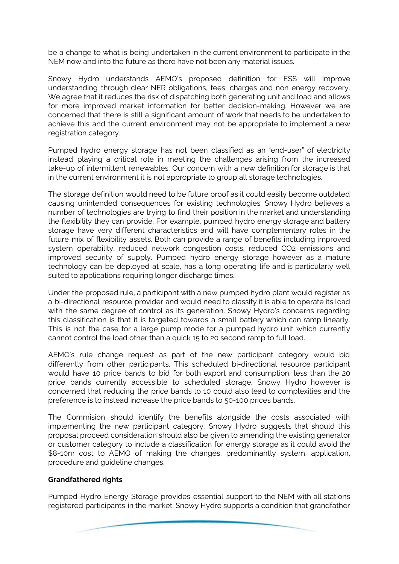be a change to what is being undertaken in the current environment to participate in the NEM now and into the future as there have not been any material issues.

Snowy Hydro understands AEMO's proposed definition for ESS will improve understanding through clear NER obligations, fees, charges and non energy recovery. We agree that it reduces the risk of dispatching both generating unit and load and allows for more improved market information for better decision-making. However we are concerned that there is still a significant amount of work that needs to be undertaken to achieve this and the current environment may not be appropriate to implement a new registration category.

Pumped hydro energy storage has not been classified as an "end-user" of electricity instead playing a critical role in meeting the challenges arising from the increased take-up of intermittent renewables. Our concern with a new definition for storage is that in the current environment it is not appropriate to group all storage technologies.

The storage definition would need to be future proof as it could easily become outdated causing unintended consequences for existing technologies. Snowy Hydro believes a number of technologies are trying to find their position in the market and understanding the flexibility they can provide. For example, pumped hydro energy storage and battery storage have very different characteristics and will have complementary roles in the future mix of flexibility assets. Both can provide a range of benefits including improved system operability, reduced network congestion costs, reduced CO2 emissions and improved security of supply. Pumped hydro energy storage however as a mature technology can be deployed at scale, has a long operating life and is particularly well suited to applications requiring longer discharge times.

Under the proposed rule, a participant with a new pumped hydro plant would register as a bi-directional resource provider and would need to classify it is able to operate its load with the same degree of control as its generation. Snowy Hydro's concerns regarding this classification is that it is targeted towards a small battery which can ramp linearly. This is not the case for a large pump mode for a pumped hydro unit which currently cannot control the load other than a quick 15 to 20 second ramp to full load.

AEMO's rule change request as part of the new participant category would bid differently from other participants. This scheduled bi-directional resource participant would have 10 price bands to bid for both export and consumption, less than the 20 price bands currently accessible to scheduled storage. Snowy Hydro however is concerned that reducing the price bands to 10 could also lead to complexities and the preference is to instead increase the price bands to 50-100 prices bands.

The Commision should identify the benefits alongside the costs associated with implementing the new participant category. Snowy Hydro suggests that should this proposal proceed consideration should also be given to amending the existing generator or customer category to include a classification for energy storage as it could avoid the \$8-10m cost to AEMO of making the changes, predominantly system, application, procedure and guideline changes.

### **Grandfathered rights**

Pumped Hydro Energy Storage provides essential support to the NEM with all stations registered participants in the market. Snowy Hydro supports a condition that grandfather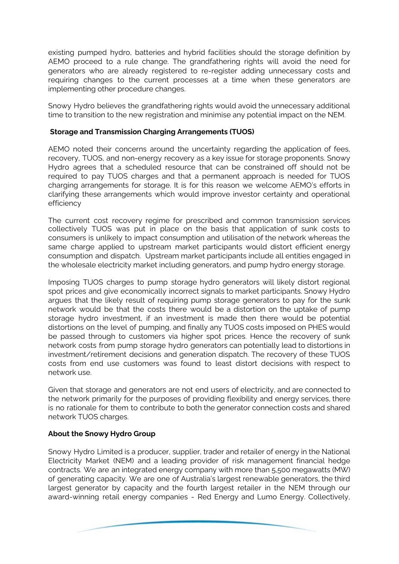existing pumped hydro, batteries and hybrid facilities should the storage definition by AEMO proceed to a rule change. The grandfathering rights will avoid the need for generators who are already registered to re-register adding unnecessary costs and requiring changes to the current processes at a time when these generators are implementing other procedure changes.

Snowy Hydro believes the grandfathering rights would avoid the unnecessary additional time to transition to the new registration and minimise any potential impact on the NEM.

## **Storage and Transmission Charging Arrangements (TUOS)**

AEMO noted their concerns around the uncertainty regarding the application of fees, recovery, TUOS, and non-energy recovery as a key issue for storage proponents. Snowy Hydro agrees that a scheduled resource that can be constrained off should not be required to pay TUOS charges and that a permanent approach is needed for TUOS charging arrangements for storage. It is for this reason we welcome AEMO's efforts in clarifying these arrangements which would improve investor certainty and operational efficiency

The current cost recovery regime for prescribed and common transmission services collectively TUOS was put in place on the basis that application of sunk costs to consumers is unlikely to impact consumption and utilisation of the network whereas the same charge applied to upstream market participants would distort efficient energy consumption and dispatch. Upstream market participants include all entities engaged in the wholesale electricity market including generators, and pump hydro energy storage.

Imposing TUOS charges to pump storage hydro generators will likely distort regional spot prices and give economically incorrect signals to market participants. Snowy Hydro argues that the likely result of requiring pump storage generators to pay for the sunk network would be that the costs there would be a distortion on the uptake of pump storage hydro investment, if an investment is made then there would be potential distortions on the level of pumping, and finally any TUOS costs imposed on PHES would be passed through to customers via higher spot prices. Hence the recovery of sunk network costs from pump storage hydro generators can potentially lead to distortions in investment/retirement decisions and generation dispatch. The recovery of these TUOS costs from end use customers was found to least distort decisions with respect to network use.

Given that storage and generators are not end users of electricity, and are connected to the network primarily for the purposes of providing flexibility and energy services, there is no rationale for them to contribute to both the generator connection costs and shared network TUOS charges.

# **About the Snowy Hydro Group**

Snowy Hydro Limited is a producer, supplier, trader and retailer of energy in the National Electricity Market (NEM) and a leading provider of risk management financial hedge contracts. We are an integrated energy company with more than 5,500 megawatts (MW) of generating capacity. We are one of Australia's largest renewable generators, the third largest generator by capacity and the fourth largest retailer in the NEM through our award-winning retail energy companies - Red Energy and Lumo Energy. Collectively,